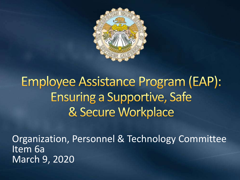

# **Employee Assistance Program (EAP): Ensuring a Supportive, Safe** & Secure Workplace

Organization, Personnel & Technology Committee Item 6a March 9, 2020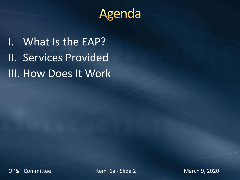

I. What Is the EAP? II. Services Provided III. How Does It Work

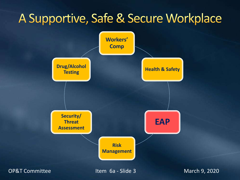# A Supportive, Safe & Secure Workplace

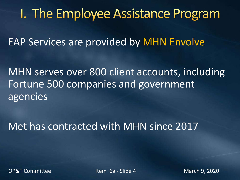# I. The Employee Assistance Program

EAP Services are provided by MHN Envolve

MHN serves over 800 client accounts, including Fortune 500 companies and government agencies

Met has contracted with MHN since 2017

OP&T Committee The Item 6a - Slide 4 March 9, 2020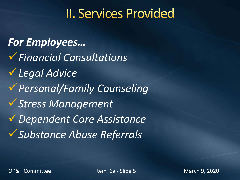# **II. Services Provided**

*For Employees…* ✓*Financial Consultations* ✓*Legal Advice* ✓*Personal/Family Counseling* ✓*Stress Management* ✓*Dependent Care Assistance* ✓*Substance Abuse Referrals*

OP&T Committee The Item 6a - Slide 5 March 9, 2020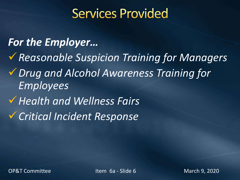## **Services Provided**

#### *For the Employer…*

✓*Reasonable Suspicion Training for Managers* ✓*Drug and Alcohol Awareness Training for Employees* ✓*Health and Wellness Fairs*

✓*Critical Incident Response*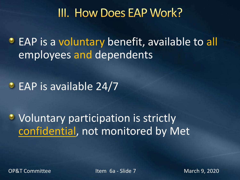#### III. How Does EAP Work?

**• EAP is a voluntary benefit, available to all** employees and dependents

#### • EAP is available 24/7

### • Voluntary participation is strictly confidential, not monitored by Met

OP&T Committee The Item 6a - Slide 7 March 9, 2020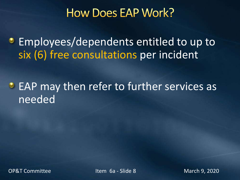#### **How Does EAP Work?**

**Employees/dependents entitled to up to** six (6) free consultations per incident

**EAP may then refer to further services as** needed

OP&T Committee The Item 6a - Slide 8 March 9, 2020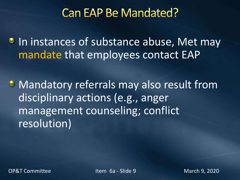#### **Can EAP Be Mandated?**

**In instances of substance abuse, Met may** mandate that employees contact EAP

• Mandatory referrals may also result from disciplinary actions (e.g., anger management counseling; conflict resolution)

OP&T Committee The Item 6a - Slide 9 March 9, 2020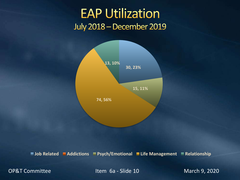#### **EAP Utilization July 2018 - December 2019**



**Job Related Addictions Psych/Emotional Life Management Relationship**

OP&T Committee The Item 6a - Slide 10 March 9, 2020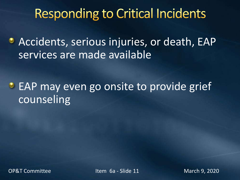# **Responding to Critical Incidents**

Accidents, serious injuries, or death, EAP services are made available

**EAP may even go onsite to provide grief** counseling

OP&T Committee The Item 6a - Slide 11 March 9, 2020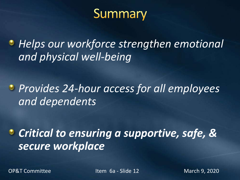# Summary

*Helps our workforce strengthen emotional and physical well-being*

*Provides 24-hour access for all employees and dependents*

*Critical to ensuring a supportive, safe, & secure workplace*

OP&T Committee The Item 6a - Slide 12 March 9, 2020